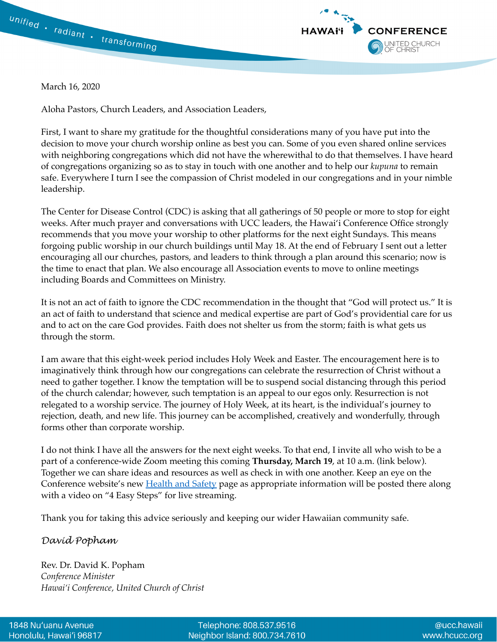



March 16, 2020

Aloha Pastors, Church Leaders, and Association Leaders,

First, I want to share my gratitude for the thoughtful considerations many of you have put into the decision to move your church worship online as best you can. Some of you even shared online services with neighboring congregations which did not have the wherewithal to do that themselves. I have heard of congregations organizing so as to stay in touch with one another and to help our *kupuna* to remain safe. Everywhere I turn I see the compassion of Christ modeled in our congregations and in your nimble leadership.

The Center for Disease Control (CDC) is asking that all gatherings of 50 people or more to stop for eight weeks. After much prayer and conversations with UCC leaders, the Hawai'i Conference Office strongly recommends that you move your worship to other platforms for the next eight Sundays. This means forgoing public worship in our church buildings until May 18. At the end of February I sent out a letter encouraging all our churches, pastors, and leaders to think through a plan around this scenario; now is the time to enact that plan. We also encourage all Association events to move to online meetings including Boards and Committees on Ministry.

It is not an act of faith to ignore the CDC recommendation in the thought that "God will protect us." It is an act of faith to understand that science and medical expertise are part of God's providential care for us and to act on the care God provides. Faith does not shelter us from the storm; faith is what gets us through the storm.

I am aware that this eight-week period includes Holy Week and Easter. The encouragement here is to imaginatively think through how our congregations can celebrate the resurrection of Christ without a need to gather together. I know the temptation will be to suspend social distancing through this period of the church calendar; however, such temptation is an appeal to our egos only. Resurrection is not relegated to a worship service. The journey of Holy Week, at its heart, is the individual's journey to rejection, death, and new life. This journey can be accomplished, creatively and wonderfully, through forms other than corporate worship.

I do not think I have all the answers for the next eight weeks. To that end, I invite all who wish to be a part of a conference-wide Zoom meeting this coming **Thursday, March 19**, at 10 a.m. (link below). Together we can share ideas and resources as well as check in with one another. Keep an eye on the Conference website's new **[Health and Safety](https://www.hcucc.org/health-and-safety)** page as appropriate information will be posted there along with a video on "4 Easy Steps" for live streaming.

Thank you for taking this advice seriously and keeping our wider Hawaiian community safe.

## *David Popham*

Rev. Dr. David K. Popham *Conference Minister Hawai'i Conference, United Church of Christ*